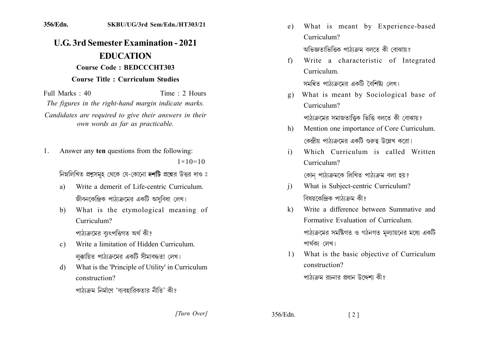## **1.1.1.1.1111111111.1111.1111.1111111 EDUCATION Course Code: BEDCCCHT303 Course Title: Curriculum Studies**

 $Full Marks: 40$  Time  $\cdot$  2 Hours *The figures in the right-hand margin indicate marks.* Candidates are required to give their answers in their *own words as far as practicable.* 

1. Answer any **ten** questions from the following:  $1 \times 10 = 10$ 

নিম্নলিখিত প্রশ্নসমূহ থেকে যে-কোনো দশটি প্রশ্নের উত্তর দাও ঃ

- a) Write a demerit of Life-centric Curriculum. জীবনকেন্দ্রিক পাঠ্যক্রমের একটি অসুবিধা লেখ।
- b. What is the etymological meaning of Curriculum?

পাঠ্যক্ৰমের ব্যুৎপত্তিগত অর্থ কী?

- c) Write a limitation of Hidden Curriculum লক্কায়িত পাঠাক্রমের একটি সীমাবদ্ধতা লেখ।
- d) What is the 'Principle of Utility' in Curriculum .construction?

পাঠাক্রম নির্মাণে 'ব্যবহারিকতার নীতি' কী?

- e) What is meant by Experience-based Curriculum? অভিজ্ঞতাভিত্তিক পাঠাক্রম বলতে কী বোঝায় ?
- f) Write a characteristic of Integrated Curriculum

সমন্বিত পাঠাক্রমের একটি বৈশিষ্ট্য লেখ।

g) What is meant by Sociological base of Curriculum?

পাঠ্যক্রমের সমাজতাত্তিক ভিত্তি বলতে কী বোঝায়?

- h) Mention one importance of Core Curriculum. কেন্দ্রীয় পাঠ্যক্রমের একটি গুরুত্ব উল্লেখ করো।
- i) Which Curriculum is called Written Curriculum?

কোন পাঠ্যক্ৰমকে লিখিত পাঠ্যক্ৰম বলা হয়?

- i) What is Subject-centric Curriculum? বিষয়কেন্দিক পাঠাক্ৰম কী?
- $k$ ) Write a difference between Summative and Formative Evaluation of Curriculum. পাঠ্যক্রমের সমষ্টিগত ও গঠনগত মূল্যায়নের মধ্যে একটি পাৰ্থকা লেখ।
- 1) What is the basic objective of Curriculum construction?

পাঠাক্রম রচনার প্রধান উদ্দেশ্য কী?

*]]]]]] ]]]]]*

356/Edn. [2]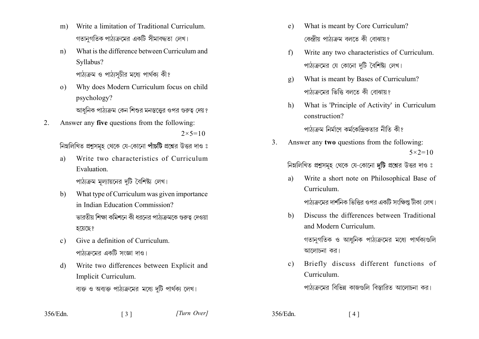- Write a limitation of Traditional Curriculum  $m)$ গতানুগতিক পাঠ্যক্রমের একটি সীমাবদ্ধতা লেখ।
- What is the difference between Curriculum and  $n)$ Syllabus?

পাঠ্যক্রম ও পাঠ্যসচীর মধ্যে পার্থক্য কী?

- Why does Modern Curriculum focus on child  $\Omega$ ) psychology? আধনিক পাঠ্যক্রম কেন শিশুর মনস্তত্তের ওপর গুরুত্ব দেয়?
- Answer any five questions from the following: 2.  $2 \times 5 = 10$

নিম্নলিখিত প্রশ্নসমূহ থেকে যে-কোনো পাঁচটি প্রশ্নের উত্তর দাও ঃ

Write two characteristics of Curriculum a) Evaluation

পাঠ্যক্রম মল্যায়নের দটি বৈশিষ্ট্য লেখ।

- What type of Curriculum was given importance  $h)$ in Indian Education Commission? ভারতীয় শিক্ষা কমিশনে কী ধরনের পাঠ্যক্রমকে গুরুত্ব দেওয়া হয়েছে?
- Give a definition of Curriculum  $\mathbf{c}$ ) পাঠ্যক্রমের একটি সংজ্ঞা দাও।
- Write two differences between Explicit and  $\mathbf{d}$ Implicit Curriculum. ব্যক্ত ও অব্যক্ত পাঠ্যক্রমের মধ্যে দুটি পার্থক্য লেখ।

 $\begin{bmatrix} 3 \end{bmatrix}$ 

- What is meant by Core Curriculum?  $e)$ কেন্দ্ৰীয় পাঠ্যক্ৰম বলতে কী বোঝায়?
- Write any two characteristics of Curriculum.  $f$ পাঠ্যক্রমের যে কোনো দুটি বৈশিষ্ট্য লেখ।
- What is meant by Bases of Curriculum?  $g)$ পাঠ্যক্রমের ভিত্তি বলতে কী বোঝায়?
- What is 'Principle of Activity' in Curriculum  $h)$ construction?

পাঠাক্রম নির্মাণে কর্মকেন্দিকতার নীতি কী?

Answer any two questions from the following:  $3<sub>1</sub>$  $5 \times 2 = 10$ 

নিম্নলিখিত প্রশ্নসমূহ থেকে যে-কোনো দুটি প্রশ্নের উত্তর দাও ঃ

Write a short note on Philosophical Base of a) Curriculum.

পাঠাক্রমের দার্শনিক ভিত্তির ওপর একটি সংক্ষিপ্ত টীকা লেখ।

Discuss the differences between Traditional  $b)$ and Modern Curriculum

গতানুগতিক ও আধুনিক পাঠ্যক্ৰমের মধ্যে পাৰ্থক্যগুলি আলোচনা কর।

Briefly discuss different functions of  $c)$ Curriculum.

পাঠাক্রমের বিভিন্ন কাজগুলি বিস্তারিত আলোচনা কর।

356/Edn.